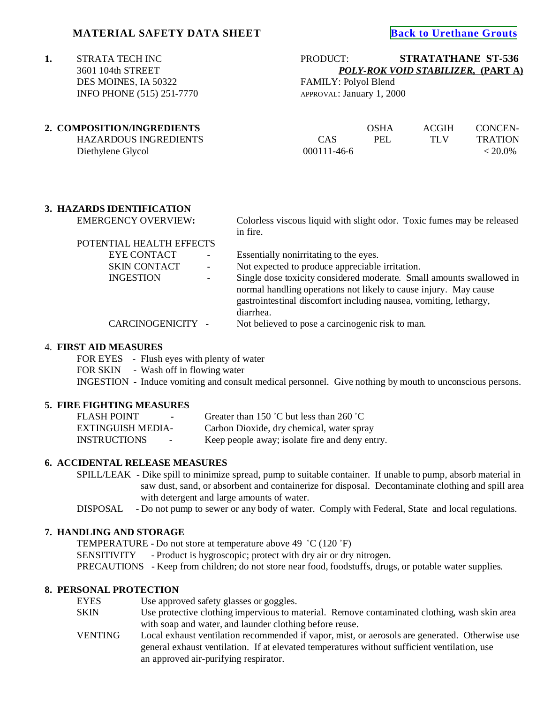# **MATERIAL SAFETY DATA SHEET**

 DES MOINES, IA 50322 FAMILY: Polyol Blend INFO PHONE (515) 251-7770 APPROVAL: January 1, 2000

**1.** STRATA TECH INC PRODUCT: **STRATATHANE ST-536** 3601 104th STREET *POLY-ROK VOID STABILIZER,* **(PART A)**

| 2. COMPOSITION/INGREDIENTS |                   | OSHA       | ACGIH | CONCEN-        |
|----------------------------|-------------------|------------|-------|----------------|
| HAZARDOUS INGREDIENTS      | CAS               | <b>PEL</b> | TLV   | <b>TRATION</b> |
| Diethylene Glycol          | $000111 - 46 - 6$ |            |       | $< 20.0\%$     |
|                            |                   |            |       |                |

# **3. HAZARDS IDENTIFICATION**

EMERGENCY OVERVIEW: Colorless viscous liquid with slight odor. Toxic fumes may be released in fire.

| POTENTIAL HEALTH EFFECTS |     |                                                                      |
|--------------------------|-----|----------------------------------------------------------------------|
| <b>EYE CONTACT</b>       | ۰.  | Essentially nonirritating to the eyes.                               |
| <b>SKIN CONTACT</b>      | $-$ | Not expected to produce appreciable irritation.                      |
| <b>INGESTION</b>         | Ξ.  | Single dose toxicity considered moderate. Small amounts swallowed in |
|                          |     | normal handling operations not likely to cause injury. May cause     |
|                          |     | gastrointestinal discomfort including nausea, vomiting, lethargy,    |
|                          |     | diarrhea.                                                            |
| CARCINOGENICITY -        |     | Not believed to pose a carcinogenic risk to man.                     |

#### 4. **FIRST AID MEASURES**

FOR EYES - Flush eyes with plenty of water FOR SKIN - Wash off in flowing water INGESTION **-** Induce vomiting and consult medical personnel. Give nothing by mouth to unconscious persons.

#### **5. FIRE FIGHTING MEASURES**

| <b>FLASH POINT</b>            | Greater than 150 °C but less than 260 °C       |
|-------------------------------|------------------------------------------------|
| EXTINGUISH MEDIA-             | Carbon Dioxide, dry chemical, water spray      |
| <b>INSTRUCTIONS</b><br>$\sim$ | Keep people away; isolate fire and deny entry. |

#### **6. ACCIDENTAL RELEASE MEASURES**

SPILL/LEAK - Dike spill to minimize spread, pump to suitable container. If unable to pump, absorb material in saw dust, sand, or absorbent and containerize for disposal. Decontaminate clothing and spill area with detergent and large amounts of water.

DISPOSAL - Do not pump to sewer or any body of water. Comply with Federal, State and local regulations.

# **7. HANDLING AND STORAGE**

TEMPERATURE - Do not store at temperature above 49  $^{\circ}$ C (120  $^{\circ}$ F) SENSITIVITY - Product is hygroscopic; protect with dry air or dry nitrogen. PRECAUTIONS - Keep from children; do not store near food, foodstuffs, drugs, or potable water supplies.

#### **8. PERSONAL PROTECTION**

| EYES    | Use approved safety glasses or goggles.                                                        |
|---------|------------------------------------------------------------------------------------------------|
| SKIN    | Use protective clothing impervious to material. Remove contaminated clothing, wash skin area   |
|         | with soap and water, and launder clothing before reuse.                                        |
| VENTING | Local exhaust ventilation recommended if vapor, mist, or aerosols are generated. Otherwise use |
|         | general exhaust ventilation. If at elevated temperatures without sufficient ventilation, use   |
|         | an approved air-purifying respirator.                                                          |
|         |                                                                                                |